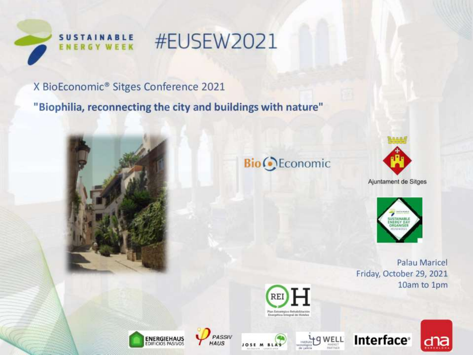

## **#EUSEW2021**

X BioEconomic® Sitges Conference 2021

"Biophilia, reconnecting the city and buildings with nature"



### **Bio** Economic



Ajuntament de Sitges



Palau Maricel Friday, October 29, 2021 10am to 1pm